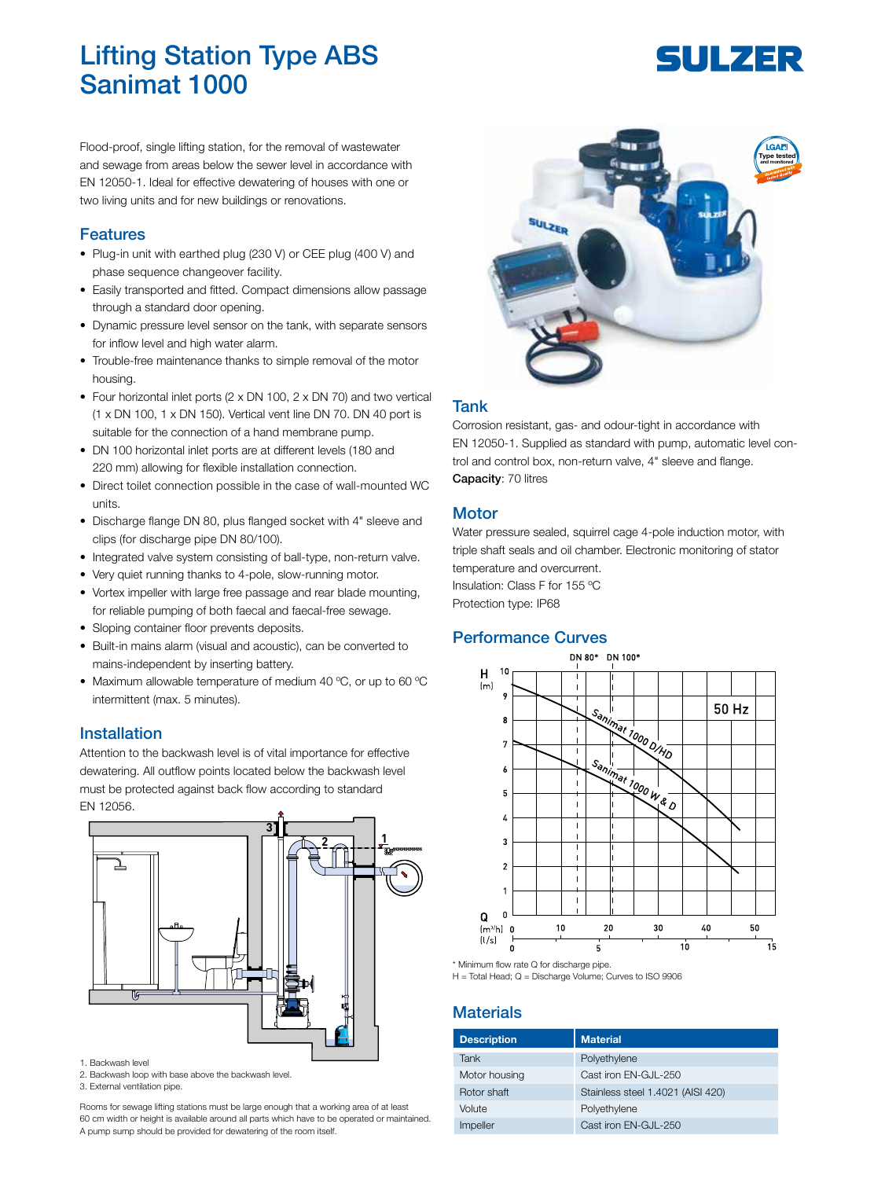# Lifting Station Type ABS Sanimat 1000

# **SULZER**

Flood-proof, single lifting station, for the removal of wastewater and sewage from areas below the sewer level in accordance with EN 12050-1. Ideal for effective dewatering of houses with one or two living units and for new buildings or renovations.

## Features

- Plug-in unit with earthed plug (230 V) or CEE plug (400 V) and phase sequence changeover facility.
- Easily transported and fitted. Compact dimensions allow passage through a standard door opening.
- Dynamic pressure level sensor on the tank, with separate sensors for inflow level and high water alarm.
- Trouble-free maintenance thanks to simple removal of the motor housing.
- Four horizontal inlet ports (2 x DN 100, 2 x DN 70) and two vertical (1 x DN 100, 1 x DN 150). Vertical vent line DN 70. DN 40 port is suitable for the connection of a hand membrane pump.
- DN 100 horizontal inlet ports are at different levels (180 and 220 mm) allowing for flexible installation connection.
- Direct toilet connection possible in the case of wall-mounted WC units.
- Discharge flange DN 80, plus flanged socket with 4" sleeve and clips (for discharge pipe DN 80/100).
- Integrated valve system consisting of ball-type, non-return valve.
- Very quiet running thanks to 4-pole, slow-running motor.
- Vortex impeller with large free passage and rear blade mounting, for reliable pumping of both faecal and faecal-free sewage.
- Sloping container floor prevents deposits.
- Built-in mains alarm (visual and acoustic), can be converted to mains-independent by inserting battery.
- Maximum allowable temperature of medium 40 ºC, or up to 60 ºC intermittent (max. 5 minutes).

#### Installation

Attention to the backwash level is of vital importance for effective dewatering. All outflow points located below the backwash level must be protected against back flow according to standard EN 12056.



- 1. Backwash level
- 2. Backwash loop with base above the backwash level.
- 3. External ventilation pipe.

Rooms for sewage lifting stations must be large enough that a working area of at least 60 cm width or height is available around all parts which have to be operated or maintained. A pump sump should be provided for dewatering of the room itself.



#### Tank

Corrosion resistant, gas- and odour-tight in accordance with EN 12050-1. Supplied as standard with pump, automatic level control and control box, non-return valve, 4" sleeve and flange. Capacity: 70 litres

### **Motor**

Water pressure sealed, squirrel cage 4-pole induction motor, with triple shaft seals and oil chamber. Electronic monitoring of stator temperature and overcurrent. Insulation: Class F for 155 ºC Protection type: IP68

### Performance Curves



\* Minimum flow rate Q for discharge pipe.

H = Total Head; Q = Discharge Volume; Curves to ISO 9906

## **Materials**

| <b>Description</b> | <b>Material</b>                   |
|--------------------|-----------------------------------|
| Tank               | Polyethylene                      |
| Motor housing      | Cast iron EN-GJL-250              |
| Rotor shaft        | Stainless steel 1.4021 (AISI 420) |
| Volute             | Polyethylene                      |
| Impeller           | Cast iron EN-GJL-250              |